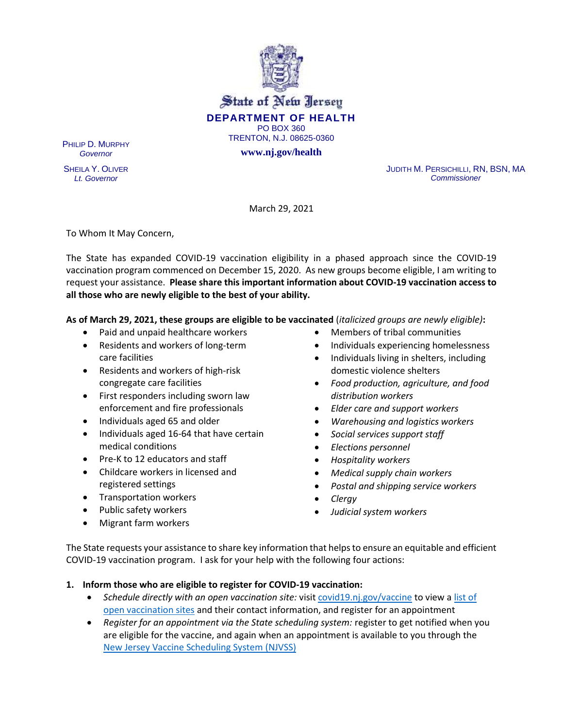

State of New Jersey **DEPARTMENT OF HEALTH** PO BOX 360 TRENTON, N.J. 08625-0360

**www.nj.gov/health**

PHILIP D. MURPHY *Governor*

SHEILA Y. OLIVER *Lt. Governor*

JUDITH M. PERSICHILLI, RN, BSN, MA *Commissioner*

March 29, 2021

To Whom It May Concern,

The State has expanded COVID-19 vaccination eligibility in a phased approach since the COVID-19 vaccination program commenced on December 15, 2020. As new groups become eligible, I am writing to request your assistance. **Please share this important information about COVID-19 vaccination access to all those who are newly eligible to the best of your ability.**

**As of March 29, 2021, these groups are eligible to be vaccinated** (*italicized groups are newly eligible)***:**

- Paid and unpaid healthcare workers
- Residents and workers of long-term care facilities
- Residents and workers of high-risk congregate care facilities
- First responders including sworn law enforcement and fire professionals
- Individuals aged 65 and older
- Individuals aged 16-64 that have certain medical conditions
- Pre-K to 12 educators and staff
- Childcare workers in licensed and registered settings
- Transportation workers
- Public safety workers
- Migrant farm workers
- Members of tribal communities
- Individuals experiencing homelessness
- Individuals living in shelters, including domestic violence shelters
- *Food production, agriculture, and food distribution workers*
- *Elder care and support workers*
- *Warehousing and logistics workers*
- *Social services support staff*
- *Elections personnel*
- *Hospitality workers*
- *Medical supply chain workers*
- *Postal and shipping service workers*
- *Clergy*
- *Judicial system workers*

The State requests your assistance to share key information that helps to ensure an equitable and efficient COVID-19 vaccination program. I ask for your help with the following four actions:

## **1. Inform those who are eligible to register for COVID-19 vaccination:**

- *Schedule directly with an open vaccination site:* visit [covid19.nj.gov/vaccine](https://covid19.nj.gov/pages/vaccine) to view [a list of](https://covid19.nj.gov/pages/covid-19-vaccine-locations-for-eligible-recipients)  [open vaccination sites](https://covid19.nj.gov/pages/covid-19-vaccine-locations-for-eligible-recipients) and their contact information, and register for an appointment
- Register for an appointment via the State scheduling system: register to get notified when you are eligible for the vaccine, and again when an appointment is available to you through the [New Jersey Vaccine Scheduling System \(NJVSS\)](https://covid19.nj.gov/pages/vaccine)